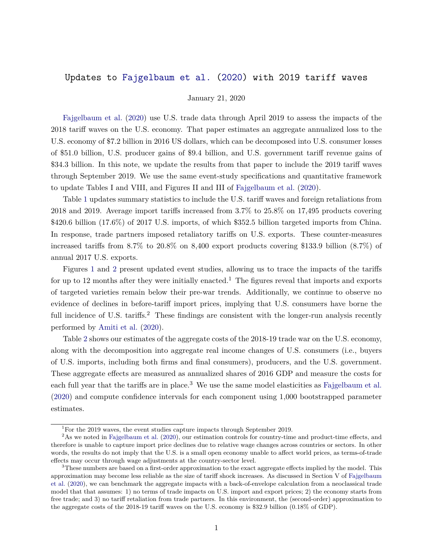## Updates to [Fajgelbaum et al.](#page-1-0) [\(2020\)](#page-1-0) with 2019 tariff waves

January 21, 2020

[Fajgelbaum et al.](#page-1-0) [\(2020\)](#page-1-0) use U.S. trade data through April 2019 to assess the impacts of the 2018 tariff waves on the U.S. economy. That paper estimates an aggregate annualized loss to the U.S. economy of \$7.2 billion in 2016 US dollars, which can be decomposed into U.S. consumer losses of \$51.0 billion, U.S. producer gains of \$9.4 billion, and U.S. government tariff revenue gains of \$34.3 billion. In this note, we update the results from that paper to include the 2019 tariff waves through September 2019. We use the same event-study specifications and quantitative framework to update Tables I and VIII, and Figures II and III of [Fajgelbaum et al.](#page-1-0) [\(2020\)](#page-1-0).

Table [1](#page-2-0) updates summary statistics to include the U.S. tariff waves and foreign retaliations from 2018 and 2019. Average import tariffs increased from 3.7% to 25.8% on 17,495 products covering \$420.6 billion (17.6%) of 2017 U.S. imports, of which \$352.5 billion targeted imports from China. In response, trade partners imposed retaliatory tariffs on U.S. exports. These counter-measures increased tariffs from 8.7% to 20.8% on 8,400 export products covering \$133.9 billion (8.7%) of annual 2017 U.S. exports.

Figures [1](#page-3-0) and [2](#page-4-0) present updated event studies, allowing us to trace the impacts of the tariffs for up to 12 months after they were initially enacted.<sup>1</sup> The figures reveal that imports and exports of targeted varieties remain below their pre-war trends. Additionally, we continue to observe no evidence of declines in before-tariff import prices, implying that U.S. consumers have borne the full incidence of U.S. tariffs.<sup>2</sup> These findings are consistent with the longer-run analysis recently performed by [Amiti et al.](#page-1-1) [\(2020\)](#page-1-1).

Table [2](#page-5-0) shows our estimates of the aggregate costs of the 2018-19 trade war on the U.S. economy, along with the decomposition into aggregate real income changes of U.S. consumers (i.e., buyers of U.S. imports, including both firms and final consumers), producers, and the U.S. government. These aggregate effects are measured as annualized shares of 2016 GDP and measure the costs for each full year that the tariffs are in place.<sup>3</sup> We use the same model elasticities as [Fajgelbaum et al.](#page-1-0) [\(2020\)](#page-1-0) and compute confidence intervals for each component using 1,000 bootstrapped parameter estimates.

<sup>&</sup>lt;sup>1</sup>For the 2019 waves, the event studies capture impacts through September 2019.

 $2\text{As we noted in Fajgelbaum et al. (2020), our estimation controls for country-time and product-time effects, and}$  $2\text{As we noted in Fajgelbaum et al. (2020), our estimation controls for country-time and product-time effects, and}$  $2\text{As we noted in Fajgelbaum et al. (2020), our estimation controls for country-time and product-time effects, and}$  $2\text{As we noted in Fajgelbaum et al. (2020), our estimation controls for country-time and product-time effects, and}$  $2\text{As we noted in Fajgelbaum et al. (2020), our estimation controls for country-time and product-time effects, and}$ therefore is unable to capture import price declines due to relative wage changes across countries or sectors. In other words, the results do not imply that the U.S. is a small open economy unable to affect world prices, as terms-of-trade effects may occur through wage adjustments at the country-sector level.

<sup>&</sup>lt;sup>3</sup>These numbers are based on a first-order approximation to the exact aggregate effects implied by the model. This approximation may become less reliable as the size of tariff shock increases. As discussed in Section V of [Fajgelbaum](#page-1-0) [et al.](#page-1-0) [\(2020\)](#page-1-0), we can benchmark the aggregate impacts with a back-of-envelope calculation from a neoclassical trade model that that assumes: 1) no terms of trade impacts on U.S. import and export prices; 2) the economy starts from free trade; and 3) no tariff retaliation from trade partners. In this environment, the (second-order) approximation to the aggregate costs of the 2018-19 tariff waves on the U.S. economy is \$32.9 billion (0.18% of GDP).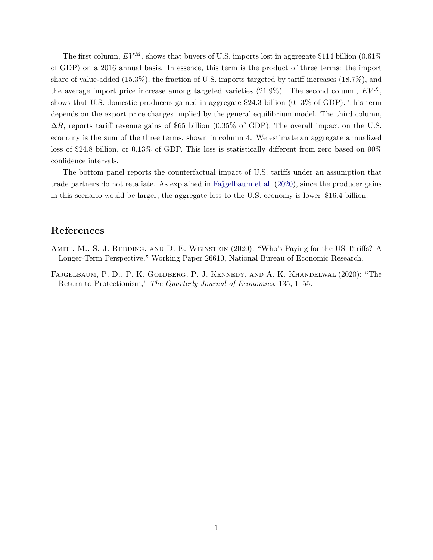The first column,  $EV^M$ , shows that buyers of U.S. imports lost in aggregate \$114 billion (0.61%) of GDP) on a 2016 annual basis. In essence, this term is the product of three terms: the import share of value-added (15.3%), the fraction of U.S. imports targeted by tariff increases (18.7%), and the average import price increase among targeted varieties  $(21.9\%)$ . The second column,  $EV^X$ , shows that U.S. domestic producers gained in aggregate \$24.3 billion (0.13% of GDP). This term depends on the export price changes implied by the general equilibrium model. The third column,  $\Delta R$ , reports tariff revenue gains of \$65 billion (0.35% of GDP). The overall impact on the U.S. economy is the sum of the three terms, shown in column 4. We estimate an aggregate annualized loss of \$24.8 billion, or 0.13% of GDP. This loss is statistically different from zero based on 90% confidence intervals.

The bottom panel reports the counterfactual impact of U.S. tariffs under an assumption that trade partners do not retaliate. As explained in [Fajgelbaum et al.](#page-1-0) [\(2020\)](#page-1-0), since the producer gains in this scenario would be larger, the aggregate loss to the U.S. economy is lower–\$16.4 billion.

## **References**

- <span id="page-1-1"></span>AMITI, M., S. J. REDDING, AND D. E. WEINSTEIN (2020): "Who's Paying for the US Tariffs? A Longer-Term Perspective," Working Paper 26610, National Bureau of Economic Research.
- <span id="page-1-0"></span>Fajgelbaum, P. D., P. K. Goldberg, P. J. Kennedy, and A. K. Khandelwal (2020): "The Return to Protectionism," *The Quarterly Journal of Economics*, 135, 1–55.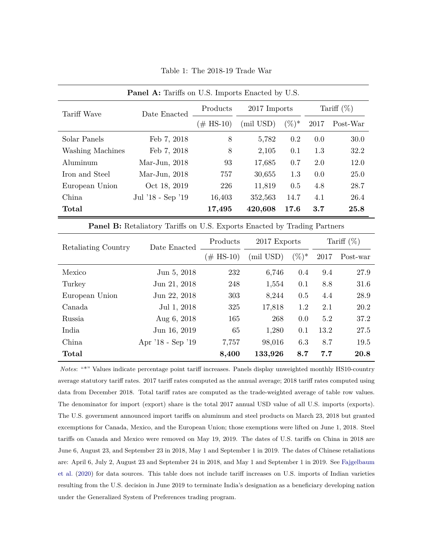<span id="page-2-0"></span>

| <b>Panel A:</b> Tariffs on U.S. Imports Enacted by U.S. |                   |              |              |          |               |             |
|---------------------------------------------------------|-------------------|--------------|--------------|----------|---------------|-------------|
| Tariff Wave                                             | Date Enacted      | Products     | 2017 Imports |          | Tariff $(\%)$ |             |
|                                                         |                   | $(\#$ HS-10) | (mil USD)    | $(\%)^*$ | 2017          | Post-War    |
| Solar Panels                                            | Feb 7, 2018       | 8            | 5,782        | $0.2\,$  | 0.0           | 30.0        |
| Washing Machines                                        | Feb 7, 2018       | 8            | 2,105        | 0.1      | 1.3           | 32.2        |
| Aluminum                                                | Mar-Jun, $2018$   | 93           | 17,685       | 0.7      | 2.0           | 12.0        |
| Iron and Steel                                          | Mar-Jun, $2018$   | 757          | 30,655       | 1.3      | 0.0           | <b>25.0</b> |
| European Union                                          | Oct 18, 2019      | 226          | 11,819       | 0.5      | 4.8           | 28.7        |
| China                                                   | Jul '18 - Sep '19 | 16,403       | 352,563      | 14.7     | 4.1           | 26.4        |
| Total                                                   |                   | 17,495       | 420,608      | 17.6     | 3.7           | 25.8        |

Table 1: The 2018-19 Trade War

**Panel B:** Retaliatory Tariffs on U.S. Exports Enacted by Trading Partners

| Retaliating Country | Date Enacted      | Products     | 2017 Exports |          | Tariff $(\%)$ |          |
|---------------------|-------------------|--------------|--------------|----------|---------------|----------|
|                     |                   | $(\#$ HS-10) | (mil USD)    | $(\%)^*$ | 2017          | Post-war |
| Mexico              | Jun 5, 2018       | 232          | 6,746        | 0.4      | 9.4           | 27.9     |
| Turkey              | Jun 21, 2018      | 248          | 1,554        | 0.1      | 8.8           | 31.6     |
| European Union      | Jun 22, 2018      | 303          | 8,244        | 0.5      | 4.4           | 28.9     |
| Canada              | Jul 1, 2018       | 325          | 17,818       | 1.2      | 2.1           | 20.2     |
| Russia              | Aug 6, 2018       | 165          | 268          | 0.0      | 5.2           | 37.2     |
| India               | Jun 16, 2019      | 65           | 1,280        | 0.1      | 13.2          | 27.5     |
| China               | Apr '18 - Sep '19 | 7,757        | 98,016       | 6.3      | 8.7           | 19.5     |
| Total               |                   | 8,400        | 133,926      | 8.7      | 7.7           | 20.8     |

*Notes*: "\*" Values indicate percentage point tariff increases. Panels display unweighted monthly HS10-country average statutory tariff rates. 2017 tariff rates computed as the annual average; 2018 tariff rates computed using data from December 2018. Total tariff rates are computed as the trade-weighted average of table row values. The denominator for import (export) share is the total 2017 annual USD value of all U.S. imports (exports). The U.S. government announced import tariffs on aluminum and steel products on March 23, 2018 but granted excemptions for Canada, Mexico, and the European Union; those exemptions were lifted on June 1, 2018. Steel tariffs on Canada and Mexico were removed on May 19, 2019. The dates of U.S. tariffs on China in 2018 are June 6, August 23, and September 23 in 2018, May 1 and September 1 in 2019. The dates of Chinese retaliations are: April 6, July 2, August 23 and September 24 in 2018, and May 1 and September 1 in 2019. See [Fajgelbaum](#page-1-0) [et al.](#page-1-0) [\(2020\)](#page-1-0) for data sources. This table does not include tariff increases on U.S. imports of Indian varieties resulting from the U.S. decision in June 2019 to terminate India's designation as a beneficiary developing nation under the Generalized System of Preferences trading program.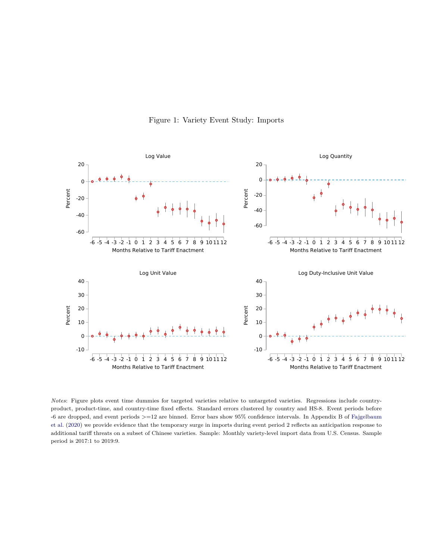

<span id="page-3-0"></span>

*Notes*: Figure plots event time dummies for targeted varieties relative to untargeted varieties. Regressions include countryproduct, product-time, and country-time fixed effects. Standard errors clustered by country and HS-8. Event periods before -6 are dropped, and event periods >=12 are binned. Error bars show 95% confidence intervals. In Appendix B of [Fajgelbaum](#page-1-0) [et al.](#page-1-0) [\(2020\)](#page-1-0) we provide evidence that the temporary surge in imports during event period 2 reflects an anticipation response to additional tariff threats on a subset of Chinese varieties. Sample: Monthly variety-level import data from U.S. Census. Sample period is 2017:1 to 2019:9.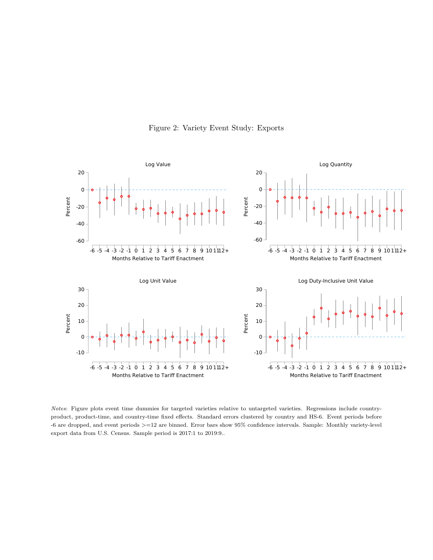

<span id="page-4-0"></span>

*Notes*: Figure plots event time dummies for targeted varieties relative to untargeted varieties. Regressions include countryproduct, product-time, and country-time fixed effects. Standard errors clustered by country and HS-6. Event periods before -6 are dropped, and event periods >=12 are binned. Error bars show 95% confidence intervals. Sample: Monthly variety-level export data from U.S. Census. Sample period is 2017:1 to 2019:9..